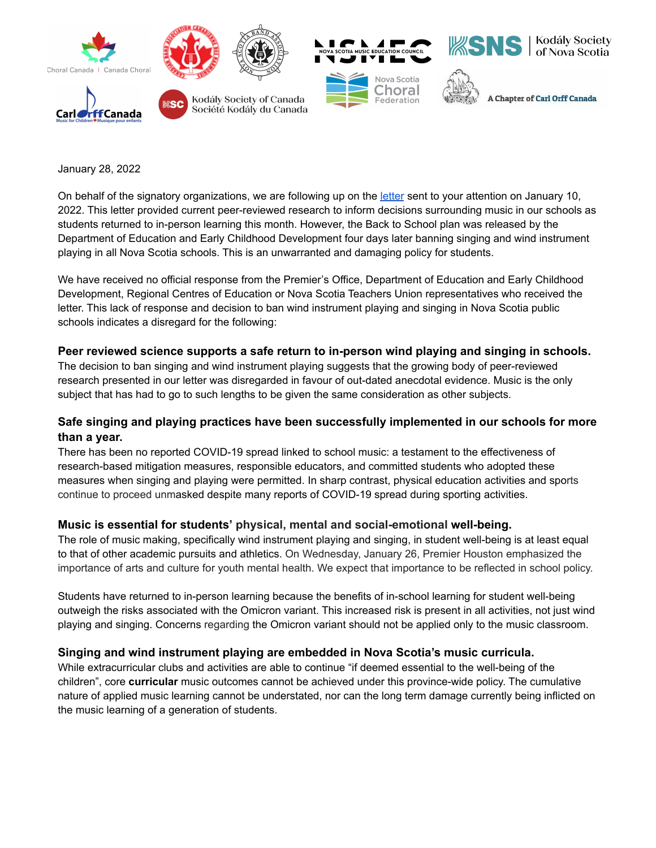

January 28, 2022

On behalf of the signatory organizations, we are following up on the [letter](https://files.constantcontact.com/f551aec6701/77d98445-b969-49f7-b21d-dc5c7e206451.pdf) sent to your attention on January 10, 2022. This letter provided current peer-reviewed research to inform decisions surrounding music in our schools as students returned to in-person learning this month. However, the Back to School plan was released by the Department of Education and Early Childhood Development four days later banning singing and wind instrument playing in all Nova Scotia schools. This is an unwarranted and damaging policy for students.

We have received no official response from the Premier's Office, Department of Education and Early Childhood Development, Regional Centres of Education or Nova Scotia Teachers Union representatives who received the letter. This lack of response and decision to ban wind instrument playing and singing in Nova Scotia public schools indicates a disregard for the following:

## **Peer reviewed science supports a safe return to in-person wind playing and singing in schools.**

The decision to ban singing and wind instrument playing suggests that the growing body of peer-reviewed research presented in our letter was disregarded in favour of out-dated anecdotal evidence. Music is the only subject that has had to go to such lengths to be given the same consideration as other subjects.

## **Safe singing and playing practices have been successfully implemented in our schools for more than a year.**

There has been no reported COVID-19 spread linked to school music: a testament to the effectiveness of research-based mitigation measures, responsible educators, and committed students who adopted these measures when singing and playing were permitted. In sharp contrast, physical education activities and sports continue to proceed unmasked despite many reports of COVID-19 spread during sporting activities.

## **Music is essential for students' physical, mental and social-emotional well-being.**

The role of music making, specifically wind instrument playing and singing, in student well-being is at least equal to that of other academic pursuits and athletics. On Wednesday, January 26, Premier Houston emphasized the importance of arts and culture for youth mental health. We expect that importance to be reflected in school policy.

Students have returned to in-person learning because the benefits of in-school learning for student well-being outweigh the risks associated with the Omicron variant. This increased risk is present in all activities, not just wind playing and singing. Concerns regarding the Omicron variant should not be applied only to the music classroom.

## **Singing and wind instrument playing are embedded in Nova Scotia's music curricula.**

While extracurricular clubs and activities are able to continue "if deemed essential to the well-being of the children", core **curricular** music outcomes cannot be achieved under this province-wide policy. The cumulative nature of applied music learning cannot be understated, nor can the long term damage currently being inflicted on the music learning of a generation of students.